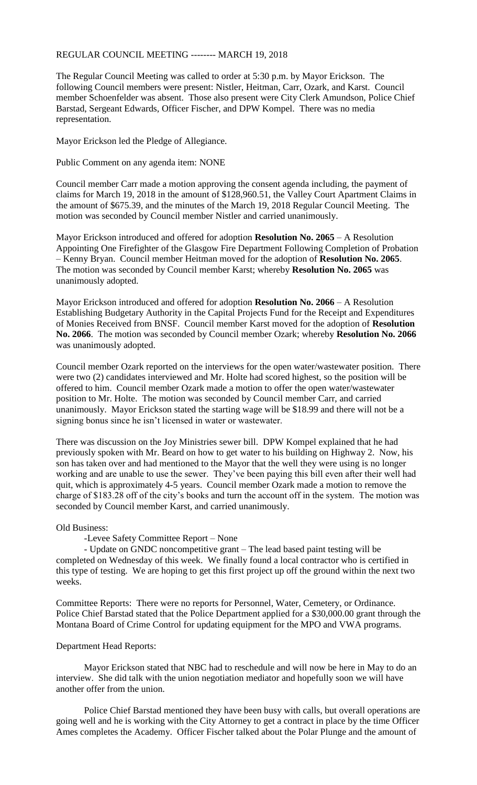## REGULAR COUNCIL MEETING -------- MARCH 19, 2018

The Regular Council Meeting was called to order at 5:30 p.m. by Mayor Erickson. The following Council members were present: Nistler, Heitman, Carr, Ozark, and Karst. Council member Schoenfelder was absent. Those also present were City Clerk Amundson, Police Chief Barstad, Sergeant Edwards, Officer Fischer, and DPW Kompel. There was no media representation.

Mayor Erickson led the Pledge of Allegiance.

Public Comment on any agenda item: NONE

Council member Carr made a motion approving the consent agenda including, the payment of claims for March 19, 2018 in the amount of \$128,960.51, the Valley Court Apartment Claims in the amount of \$675.39, and the minutes of the March 19, 2018 Regular Council Meeting. The motion was seconded by Council member Nistler and carried unanimously.

Mayor Erickson introduced and offered for adoption **Resolution No. 2065** – A Resolution Appointing One Firefighter of the Glasgow Fire Department Following Completion of Probation – Kenny Bryan. Council member Heitman moved for the adoption of **Resolution No. 2065**. The motion was seconded by Council member Karst; whereby **Resolution No. 2065** was unanimously adopted.

Mayor Erickson introduced and offered for adoption **Resolution No. 2066** – A Resolution Establishing Budgetary Authority in the Capital Projects Fund for the Receipt and Expenditures of Monies Received from BNSF. Council member Karst moved for the adoption of **Resolution No. 2066**. The motion was seconded by Council member Ozark; whereby **Resolution No. 2066** was unanimously adopted.

Council member Ozark reported on the interviews for the open water/wastewater position. There were two (2) candidates interviewed and Mr. Holte had scored highest, so the position will be offered to him. Council member Ozark made a motion to offer the open water/wastewater position to Mr. Holte. The motion was seconded by Council member Carr, and carried unanimously. Mayor Erickson stated the starting wage will be \$18.99 and there will not be a signing bonus since he isn't licensed in water or wastewater.

There was discussion on the Joy Ministries sewer bill. DPW Kompel explained that he had previously spoken with Mr. Beard on how to get water to his building on Highway 2. Now, his son has taken over and had mentioned to the Mayor that the well they were using is no longer working and are unable to use the sewer. They've been paying this bill even after their well had quit, which is approximately 4-5 years. Council member Ozark made a motion to remove the charge of \$183.28 off of the city's books and turn the account off in the system. The motion was seconded by Council member Karst, and carried unanimously.

Old Business:

-Levee Safety Committee Report – None

- Update on GNDC noncompetitive grant – The lead based paint testing will be completed on Wednesday of this week. We finally found a local contractor who is certified in this type of testing. We are hoping to get this first project up off the ground within the next two weeks.

Committee Reports: There were no reports for Personnel, Water, Cemetery, or Ordinance. Police Chief Barstad stated that the Police Department applied for a \$30,000.00 grant through the Montana Board of Crime Control for updating equipment for the MPO and VWA programs.

## Department Head Reports:

Mayor Erickson stated that NBC had to reschedule and will now be here in May to do an interview. She did talk with the union negotiation mediator and hopefully soon we will have another offer from the union.

Police Chief Barstad mentioned they have been busy with calls, but overall operations are going well and he is working with the City Attorney to get a contract in place by the time Officer Ames completes the Academy. Officer Fischer talked about the Polar Plunge and the amount of